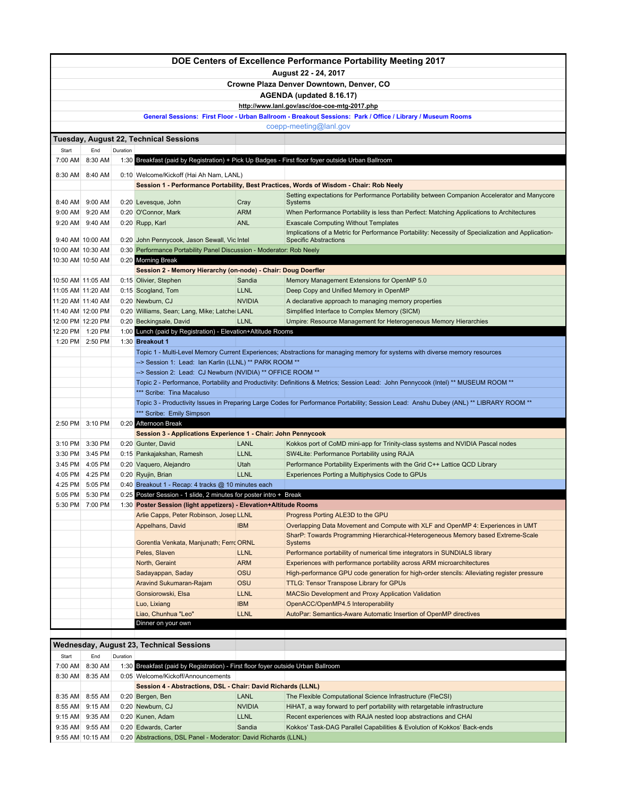|                   |                                    |          |                                                                                  |                              | DOE Centers of Excellence Performance Portability Meeting 2017                                                                                                                         |
|-------------------|------------------------------------|----------|----------------------------------------------------------------------------------|------------------------------|----------------------------------------------------------------------------------------------------------------------------------------------------------------------------------------|
|                   |                                    |          |                                                                                  |                              | August 22 - 24, 2017                                                                                                                                                                   |
|                   |                                    |          |                                                                                  |                              | Crowne Plaza Denver Downtown, Denver, CO                                                                                                                                               |
|                   |                                    |          |                                                                                  |                              | AGENDA (updated 8.16.17)                                                                                                                                                               |
|                   |                                    |          |                                                                                  |                              | http://www.lanl.gov/asc/doe-coe-mtg-2017.php                                                                                                                                           |
|                   |                                    |          |                                                                                  |                              | General Sessions: First Floor - Urban Ballroom - Breakout Sessions: Park / Office / Library / Museum Rooms                                                                             |
|                   |                                    |          |                                                                                  |                              | coepp-meeting@lanl.gov                                                                                                                                                                 |
|                   |                                    |          | Tuesday, August 22, Technical Sessions                                           |                              |                                                                                                                                                                                        |
| Start<br>7:00 AM  | End<br>8:30 AM                     | Duration |                                                                                  |                              | 1:30 Breakfast (paid by Registration) + Pick Up Badges - First floor foyer outside Urban Ballroom                                                                                      |
|                   |                                    |          |                                                                                  |                              |                                                                                                                                                                                        |
| 8:30 AM           | 8:40 AM                            |          | 0:10 Welcome/Kickoff (Hai Ah Nam, LANL)                                          |                              |                                                                                                                                                                                        |
|                   |                                    |          |                                                                                  |                              | Session 1 - Performance Portability, Best Practices, Words of Wisdom - Chair: Rob Neely<br>Setting expectations for Performance Portability between Companion Accelerator and Manycore |
|                   | 8:40 AM 9:00 AM                    |          | 0:20 Levesque, John                                                              | Cray                         | Systems                                                                                                                                                                                |
|                   | 9:00 AM 9:20 AM                    |          | 0:20 O'Connor, Mark                                                              | <b>ARM</b>                   | When Performance Portability is less than Perfect: Matching Applications to Architectures                                                                                              |
| 9:20 AM           | 9:40 AM                            |          | 0:20 Rupp, Karl                                                                  | <b>ANL</b>                   | <b>Exascale Computing Without Templates</b>                                                                                                                                            |
|                   | 9:40 AM 10:00 AM                   |          | 0:20 John Pennycook, Jason Sewall, Vic Intel                                     |                              | Implications of a Metric for Performance Portability: Necessity of Specialization and Application-<br><b>Specific Abstractions</b>                                                     |
|                   |                                    |          | 0:30 Performance Portability Panel Discussion - Moderator: Rob Neely             |                              |                                                                                                                                                                                        |
|                   |                                    |          | 0:20 Morning Break                                                               |                              |                                                                                                                                                                                        |
|                   |                                    |          | Session 2 - Memory Hierarchy (on-node) - Chair: Doug Doerfler                    |                              |                                                                                                                                                                                        |
|                   |                                    |          | 0:15 Olivier, Stephen                                                            | Sandia                       | Memory Management Extensions for OpenMP 5.0                                                                                                                                            |
| 11:05 AM 11:20 AM |                                    |          | 0:15 Scogland, Tom<br>0:20 Newburn, CJ                                           | <b>LLNL</b><br><b>NVIDIA</b> | Deep Copy and Unified Memory in OpenMP                                                                                                                                                 |
| 11:40 AM 12:00 PM |                                    |          | 0:20 Williams, Sean; Lang, Mike; Latche: LANL                                    |                              | A declarative approach to managing memory properties<br>Simplified Interface to Complex Memory (SICM)                                                                                  |
|                   | 12:00 PM 12:20 PM                  |          | 0:20 Beckingsale, David                                                          | <b>LLNL</b>                  | Umpire: Resource Management for Heterogeneous Memory Hierarchies                                                                                                                       |
|                   | 12:20 PM 1:20 PM                   |          | 1:00 Lunch (paid by Registration) - Elevation+Altitude Rooms                     |                              |                                                                                                                                                                                        |
|                   | 1:20 PM 2:50 PM                    |          | 1:30 Breakout 1                                                                  |                              |                                                                                                                                                                                        |
|                   |                                    |          |                                                                                  |                              | Topic 1 - Multi-Level Memory Current Experiences; Abstractions for managing memory for systems with diverse memory resources                                                           |
|                   |                                    |          | --> Session 1: Lead: Ian Karlin (LLNL) ** PARK ROOM **                           |                              |                                                                                                                                                                                        |
|                   |                                    |          | --> Session 2: Lead: CJ Newburn (NVIDIA) ** OFFICE ROOM **                       |                              |                                                                                                                                                                                        |
|                   |                                    |          | *** Scribe: Tina Macaluso                                                        |                              | Topic 2 - Performance, Portability and Productivity: Definitions & Metrics; Session Lead: John Pennycook (Intel) ** MUSEUM ROOM **                                                     |
|                   |                                    |          |                                                                                  |                              | Topic 3 - Productivity Issues in Preparing Large Codes for Performance Portability; Session Lead: Anshu Dubey (ANL) ** LIBRARY ROOM **                                                 |
|                   |                                    |          | *** Scribe: Emily Simpson                                                        |                              |                                                                                                                                                                                        |
| 2:50 PM           | 3:10 PM                            |          | 0:20 Afternoon Break                                                             |                              |                                                                                                                                                                                        |
|                   |                                    |          | Session 3 - Applications Experience 1 - Chair: John Pennycook                    |                              |                                                                                                                                                                                        |
| 3:10 PM           | 3:30 PM                            |          | 0:20 Gunter, David                                                               | <b>LANL</b>                  | Kokkos port of CoMD mini-app for Trinity-class systems and NVIDIA Pascal nodes                                                                                                         |
| 3:30 PM           | 3:45 PM                            |          | 0:15 Pankajakshan, Ramesh                                                        | <b>LLNL</b>                  | SW4Lite: Performance Portability using RAJA                                                                                                                                            |
| 3:45 PM           | 4:05 PM<br>4:05 PM 4:25 PM         |          | 0:20 Vaquero, Alejandro                                                          | Utah<br><b>LLNL</b>          | Performance Portability Experiments with the Grid C++ Lattice QCD Library                                                                                                              |
| 4:25 PM           | 5:05 PM                            |          | 0:20 Ryujin, Brian<br>0:40 Breakout 1 - Recap: 4 tracks @ 10 minutes each        |                              | Experiences Porting a Multiphysics Code to GPUs                                                                                                                                        |
| 5:05 PM           | 5:30 PM                            |          | 0:25 Poster Session - 1 slide, 2 minutes for poster intro + Break                |                              |                                                                                                                                                                                        |
|                   | 5:30 PM 7:00 PM                    |          | 1:30 Poster Session (light appetizers) - Elevation+Altitude Rooms                |                              |                                                                                                                                                                                        |
|                   |                                    |          | Arlie Capps, Peter Robinson, Josep LLNL                                          |                              | Progress Porting ALE3D to the GPU                                                                                                                                                      |
|                   |                                    |          | Appelhans, David                                                                 | <b>IBM</b>                   | Overlapping Data Movement and Compute with XLF and OpenMP 4: Experiences in UMT                                                                                                        |
|                   |                                    |          | Gorentla Venkata, Manjunath; Ferro ORNL                                          |                              | SharP: Towards Programming Hierarchical-Heterogeneous Memory based Extreme-Scale<br><b>Systems</b>                                                                                     |
|                   |                                    |          | Peles, Slaven                                                                    | <b>LLNL</b>                  | Performance portability of numerical time integrators in SUNDIALS library                                                                                                              |
|                   |                                    |          | North, Geraint                                                                   | <b>ARM</b>                   | Experiences with performance portability across ARM microarchitectures                                                                                                                 |
|                   |                                    |          | Sadayappan, Saday                                                                | OSU                          | High-performance GPU code generation for high-order stencils: Alleviating register pressure                                                                                            |
|                   |                                    |          | Aravind Sukumaran-Rajam                                                          | OSU                          | <b>TTLG: Tensor Transpose Library for GPUs</b>                                                                                                                                         |
|                   |                                    |          | Gonsiorowski, Elsa                                                               | <b>LLNL</b>                  | <b>MACSio Development and Proxy Application Validation</b>                                                                                                                             |
|                   |                                    |          | Luo, Lixiang                                                                     | <b>IBM</b>                   | OpenACC/OpenMP4.5 Interoperability                                                                                                                                                     |
|                   |                                    |          | Liao, Chunhua "Leo"<br>Dinner on your own                                        | <b>LLNL</b>                  | AutoPar: Semantics-Aware Automatic Insertion of OpenMP directives                                                                                                                      |
|                   |                                    |          |                                                                                  |                              |                                                                                                                                                                                        |
|                   |                                    |          | <b>Wednesday, August 23, Technical Sessions</b>                                  |                              |                                                                                                                                                                                        |
| Start             | End                                | Duration |                                                                                  |                              |                                                                                                                                                                                        |
| 7:00 AM           | 8:30 AM                            |          | 1:30 Breakfast (paid by Registration) - First floor foyer outside Urban Ballroom |                              |                                                                                                                                                                                        |
| 8:30 AM           | 8:35 AM                            |          | 0:05 Welcome/Kickoff/Announcements                                               |                              |                                                                                                                                                                                        |
|                   |                                    |          | Session 4 - Abstractions, DSL - Chair: David Richards (LLNL)                     |                              |                                                                                                                                                                                        |
| 8:35 AM           | 8:55 AM                            |          | 0:20 Bergen, Ben                                                                 | <b>LANL</b>                  | The Flexible Computational Science Infrastructure (FleCSI)                                                                                                                             |
|                   | 8:55 AM 9:15 AM<br>9:15 AM 9:35 AM |          | 0:20 Newburn, CJ<br>0:20 Kunen, Adam                                             | <b>NVIDIA</b><br><b>LLNL</b> | HiHAT, a way forward to perf portability with retargetable infrastructure<br>Recent experiences with RAJA nested loop abstractions and CHAI                                            |
| 9:35 AM           | 9:55 AM                            |          | 0:20 Edwards, Carter                                                             | Sandia                       | Kokkos' Task-DAG Parallel Capabilities & Evolution of Kokkos' Back-ends                                                                                                                |
|                   | 9:55 AM 10:15 AM                   |          | 0:20 Abstractions, DSL Panel - Moderator: David Richards (LLNL)                  |                              |                                                                                                                                                                                        |
|                   |                                    |          |                                                                                  |                              |                                                                                                                                                                                        |